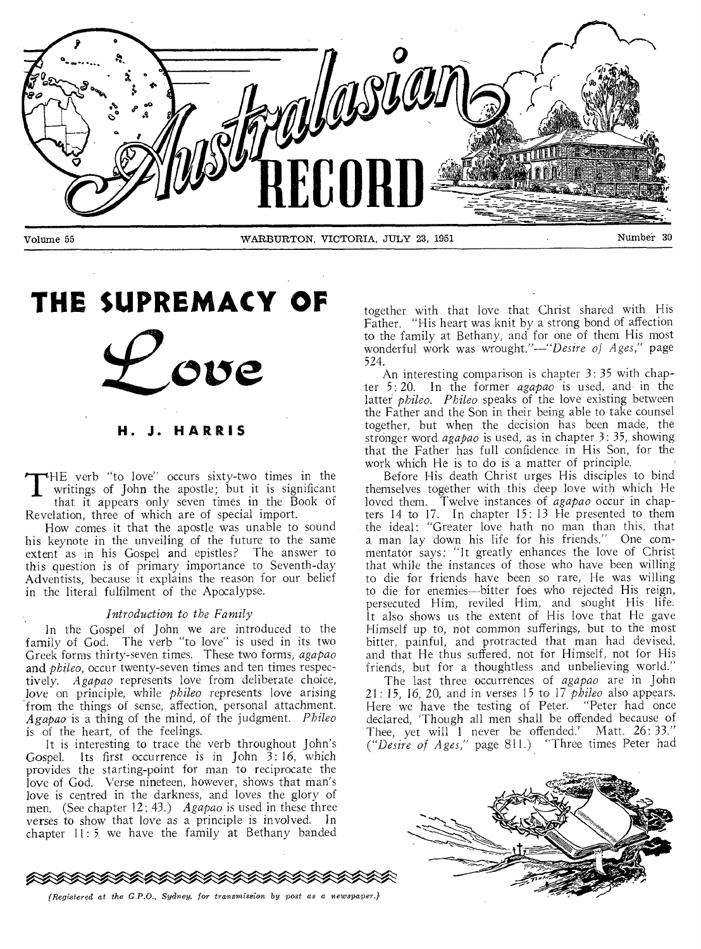

# **THE SUPREMACY OF**

**H. J. HARRIS** 

T HE verb "to love" occurs sixty-two times in the writings of John the apostle; but it is significant that it appears only seven times in the Book of

Revelation, three of which are of special import. How comes it that the apostle was unable to sound his keynote in the unveiling of the future to the same extent as in his Gospel and epistles? The answer to this question is of primary importance to Seventh-day Adventists, because it explains the reason for our belief

#### *Introduction to the Family*

in the literal fulfilment of the Apocalypse.

In the Gospel of John we are introduced to the family of God. The verb "to love" is used in its two Greek forms thirty-seven times. These two forms, *agapao*  and *phileo,* occur twenty-seven times and ten times respectively. *Agapao* represents love from deliberate choice, love on principle, while *phileo* represents love arising from the things of sense, affection, personal attachment. *Agapao* is a thing of the mind, of the judgment. *Phileo*  is of the heart, of the feelings.

It is interesting to trace the verb throughout John's Gospel. Its first occurrence is in John 3: 16, which provides the starting-point for man to reciprocate the love of God. Verse nineteen, however, shows that man's love is centred in the darkness, and loves the glory of men. (See chapter 12: 43.) *Agapao* is used in these three verses to show that love as a principle is involved. In chapter 11: 5 we have the family at Bethany banded

together with that love that Christ shared with His Father. "His heart was knit by a strong bond of affection to the family at Bethany, and for one of them His most wonderful work was wrought."—"Desire *of Ages,"* page 524.

An interesting comparison is chapter 3: 35 with chapter 5: 20. In the former *agapao* is used, and in the latter *phileo. Phileo* speaks of the love existing between the Father and the Son in their being able to take counsel together, but when the decision has been made, the stronger word *agapao* is used, as in chapter 3: 35, showing that the Father has full confidence in His Son, for the work which He is to do is a matter of principle.

Before His death Christ urges His disciples to bind themselves together with this deep love with which He loved them. Twelve instances of *agapao* occur in chapters 14 to 17. In chapter 15: 13 He presented to them the ideal: "Greater love hath no man than this, that a man lay down his life for his friends." One commentator says: "It greatly enhances the love of Christ that while the instances of those who have been willing to die for friends have been so rare, He was willing to die for enemies—bitter foes who rejected His reign, persecuted Him, reviled Him, and sought His life. It also shows us the extent of His love that He gave Himself up to, not common sufferings, but to the most bitter, painful, and protracted that man had devised, and that He thus suffered, not for Himself, not for His friends, but for a thoughtless and unbelieving world."

The last three occurrences of *agapao* are in John 21: 15, 16, 20, and in verses 15 to 17 *phileo* also appears. Here we have the testing of Peter. "Peter had once declared, 'Though all men shall be offended because of Thee, yet will I never be offended.' Matt. 26: *33." ("Desire of Ages,"* page 811.) "Three times Peter had





*{Registered at the G P.O., Sydney, for transmission by post as a newspaper.}*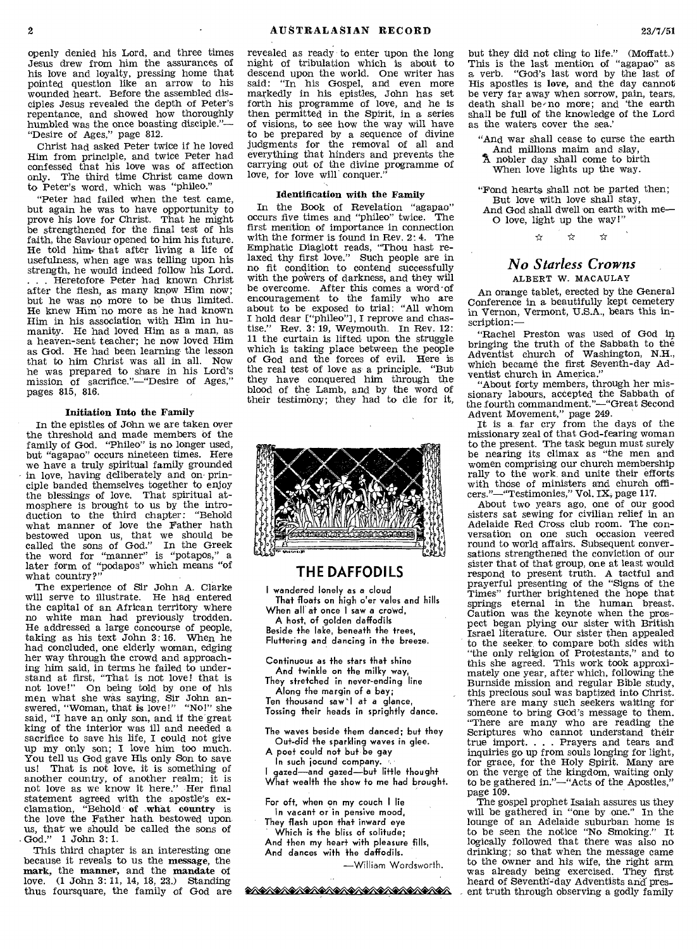openly denied his Lord, and three times Jesus drew from him the assurances of his love and loyalty, pressing home that pointed question like an arrow to his wounded heart. Before the assembled disciples Jesus revealed the depth of Peter's repentance, and showed how thoroughly humbled was the once boasting disciple."— "Desire of Ages," page 812.

Christ had asked Peter twice if he loved Him from principle, and twice Peter had confessed that his love was of affection only. The third time Christ came down to Peter's word, which was "phileo."

"Peter had failed when the test came, but again he was to have opportunity to prove his love for Christ. That he might be strengthened for the final test of his faith, the Saviour opened to him his future. He told him  $*$  that after living a life of usefulness, when age was telling upon his strength, he would indeed follow his Lord. . . . Heretofore Peter had known Christ after the flesh, as many know Him now; but he was no more to be thus limited. He knew Him'no more as he had known Him in his association with Him in humanity. He had loved Him as a man, as a heaven-sent teacher; he now loved Him as God. He had been learning the lesson that to him Christ was all in all. Now he was prepared to share in his Lord's mission of sacrifice."—"Desire of Ages," pages 815, 816.

#### Initiation Into the Family

In the epistles of John we are taken over the threshold and made members of the family of God. "Phileo" is no longer used, but "agapao" occurs nineteen times. Here we have a truly spiritual family grounded in love, having deliberately and on principle banded themselves together to enjoy the blessings-of love. That spiritual at-mosphere is brought to us by the introduction to the third chapter: "Behold what manner of love the Father hath bestowed upon us, that we should be called the sons of God." In the Greek the word for "manner" is "potapos," a later form of "podapos" which means "of what country?"

The experience of Sir John A. Clarke will serve to illustrate. He had entered the capital of an African territory where no white man had previously trodden. He addressed a large concourse of people, taking as his text John 3: 16. When he had concluded, one elderly woman, edging her way through the crowd and approaching him said, in terms he failed to understand at first, "That is not love! that is not love!" On being told by one of his men what she was saying, Sir John an-swered, "Woman, that is love!" "No!" she said, "I have an only son, and if the great king of the interior was ill and needed a sacrifice to save his life, I could not give up my only son; I love him too much. You tell us God gave His only Son to save us! That is not love, it is something of another country, of another realm; it is not love as we know it here." Her final statement agreed with the apostle's exclamation, "Behold of .what country is the love the Father hath bestowed upon us, that-we should be called the sons of God." 1 John 3: 1.

This third chapter is an interesting one because it reveals to us the message, the mark, the manner, and the mandate of love. (1 John 3: 11, 14, 18, 23.) Standing thus foursquare, the family of God are revealed as ready to enter upon the long night of tribulation which is about to descend upon the world. One writer has said: "In his Gospel, and even more markedly in his epistles, John has set forth his programme of love, and he is then permitted in the Spirit, in a series of visions, to see how the way will have to be prepared by a sequence of divine judgments for the removal of all and everything that hinders and prevents the carrying out of the divine programme of love, for love will conquer."

#### Identification with the Family

In the Book of Revelation "agapao"<br>cours five times and "phileo" twice. The occurs five times and "phileo" twice. first mention of importance in connection with the former is found in Rev. 2: 4. The Emphatic Diaglott reads, "Thou host relaxed thy first love." Such people are in no fit condition to contend successfully with the powers of darkness, and they will be overcome. After this comes a word•of encouragement to the family who are about to be exposed to trial: "All whom I hold dear E"phileo"1, I reprove and chastise." Rev. 3: 19, Weymouth. In Rev. 12: 11 the curtain is lifted upon the struggle which is taking place between the people of God and the forces of evil. Here is the real test of love as a principle. "But they have conquered him through the blood of the Lamb, and by the word of their testimony; they had to die for it,



#### **THE DAFFODILS**

I wandered lonely as a cloud That floats on high o'er vales and hills When all at once I saw a crowd, A host, of golden daffodils Beside the lake, beneath +he trees,

Fluttering and dancing in the breeze.

Continuous as the stars that shine And twinkle on the milky way, They stretched in never-ending line

Along the margin of a bay;

Ten thousand saw I at a glance, Tossing their heads in sprightly dance.

The waves beside them danced; but they Ou+-did the sparkling waves in glee.

A poet could not but be gay

In such jocund company. I gazed—and gazed—but little thought What wealth the show to me had brought.

For oft, when on my couch I lie In vacant or in pensive mood,

They flash upon that inward eye Which is the bliss of solitude; And then my heart with pleasure fills, And dances with the daffodils.

—William Wordsworth.

<u>�A�A�A�A�A�A�A�A�A�A�A�A�A</u>

but they did not cling to life." (Moffatt.) This is the last mention of "agapao" as a verb. "God's last word by the last of His apostles is love, and the day cannot be very far away when sorrow, pain, tears, death shall be no more; and the earth shall be full of the knowledge of the Lord as the waters cover the sea.'

"And war shall cease to curse the earth And millions maim and slay,

A nobler day shall come to birth When love lights up the way.

"Fond hearts shall not be parted then; But love with love shall stay,

And God shall dwell on earth with me-O love, light up the way!"

 $\leftrightarrow$ باب

#### *No Starless Crowns*  ALBERT W. MACAULAY

An orange tablet, erected by the General Conference in a beautifully kept cemetery in Vernon, Vermont, U.S.A., bears this inscription:—

"Rachel Preston was used of God in bringing the truth of the Sabbath to the Adventist church of Washington, N.H., which became the first Seventh-day Adventist church in America."

"About forty members, through her missionary labours, accepted the Sabbath of the fourth commandment."—"Great Second

Advent Movement," page 249.<br>It is a far cry from the days of the missionary zeal of that God-fearing woman to the present. The task begun must surely be nearing its climax as "the men and women comprising our church membership rally to the work and unite their efforts with those of ministers and church officers."—"Testimonies," Vol. IX, page 117.

About two years ago, one of our good sisters sat sewing for civilian relief in an Adelaide Red Cross club room. The conversation on one such occasion veered round to world affairs. Subsequent conversations strengthened the conviction of our sister that of that group, one at least would respond to present truth. A tactful and prayerful presenting of the "Signs of the Times" further brightened the hope that springs eternal in the human breast. Caution was the keynote when the prospect began plying our sister with British Israel literature. Our sister then appealed to the seeker to compare both sides with "the only religion of Protestants," and to this she agreed. This work took approximately one year, after which, following the Burnside mission and regular Bible study, this precious soul was baptized into Christ. There are many such seekers waiting for someone to bring God's message to them. "There are many who are reading the Scriptures who cannot understand their true import. . . . Prayers and tears and inquiries go up from souls longing for light, for grace, for the Holy Spirit. Many are on the verge of the kingdom, waiting only to be gathered in."—"Acts of the Apostles," page 109.

The gospel prophet Isaiah assures us they will be gathered in "one by one." In the lounge of an Adelaide suburban home is to be seen the notice "No Smoking." It logically followed that there was also no drinking; so that when the message came to the owner and his wife, the right arm was already being exercised. They first heard of Seventh-day Adventists and' present truth through observing a godly family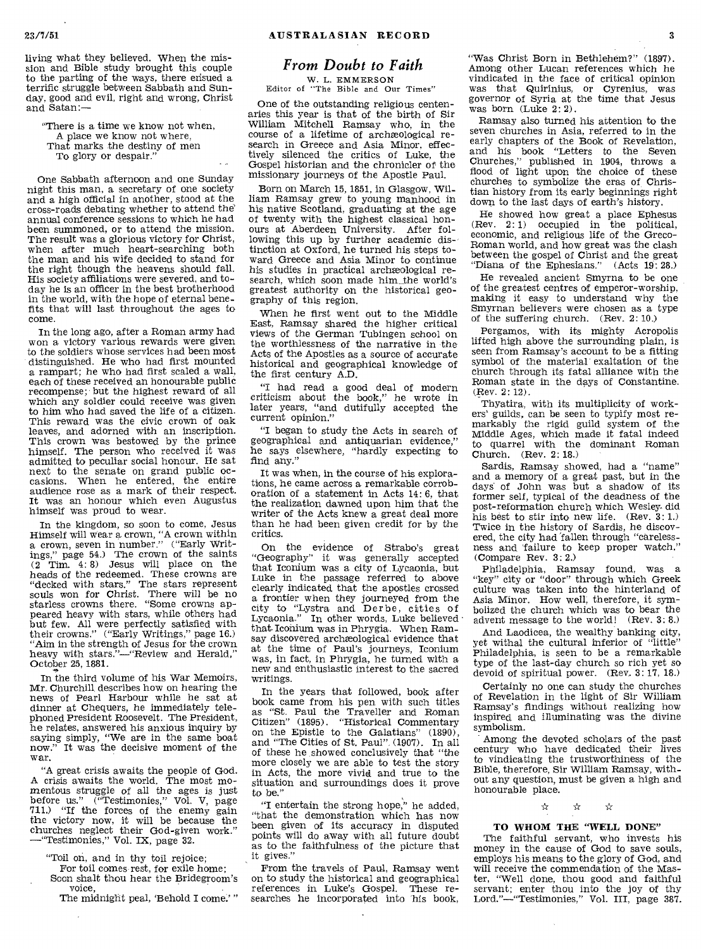living what they believed. When the mission and Bible study brought this couple to the parting of the ways, there ensued a terrific struggle between Sabbath and Sunday, good and evil, right and wrong, Christ and Satan:—

"There is a time we know not when, A place we know not where, That marks the destiny of men To glory or despair."

One Sabbath afternoon and one Sunday night this man, a secretary of one society and a high official in another, stood at the cross-roads debating whether to attend the' annual conference sessions to which he had been summoned, or to attend the mission. The result was a glorious victory for Christ, when after much heart-searching both the man and his wife decided to stand for the right though the heavens should fall. His society affiliations were severed, and today he is an officer in the best brotherhood in the world, with the hope of eternal benefits that will last throughout the ages to come.

In the long ago, after a Roman army had won a victory various rewards were given to the soldiers whose services had been most distinguished. He who had first mounted a rampart; he who had first scaled a wall, each of these received an honourable public recompense; but the highest reward of all which any soldier could receive was given to him who had saved the life of a citizen. This reward was the civic crown of oak leaves, and adorned with an inscription. This crown was bestowed by the prince himself. The person who received it was admitted to peculiar social honour. He sat next to the senate on grand public occasions. When he entered, the entire audience rose as a mark of their respect. It was an honour which even Augustus himself was proud to wear.

In the kingdom, so soon to come, Jesus Himself will wear a crown, "A crown within a crown, seven in number." ("Early Writings," page 54.) The crown of the saints (2 Tim. 4: 8) Jesus will place on the heads of the redeemed. These crowns are "decked with stars." The stars represent souls won for Christ. There will be no starless crowns there. "Some crowns appeared heavy with stars, while others had but few. All were perfectly satisfied with their crowns." ("Early Writings," page 16.) "Aim in the strength of Jesus for the crown heavy with stars."—"Review and Herald," October 25, 1881.

In the third volume of his War Memoirs, Mr. Churchill describes how on hearing the news of Pearl Harbour while he sat at dinner at Chequers, he immediately telephoned President Roosevelt. The President, he relates, answered his anxious inquiry by saying simply, "We are in the same boat now." It was the decisive moment of the It was the decisive moment of the war.

"A great crisis awaits the people of God. A crisis awaits the world. The most momentous struggle of all the ages is just<br>before us." ("Testimonies," Vol. V, page<br>711.) "If the forces of the enemy gain the victory now, it will be because the churches neglect their God-given work." —"Testimonies," Vol. IX, page 32.

"Toil on, and in thy toil rejoice;

For toil comes rest, for exile home; Soon shalt thou hear the Bridegroom's voice,

The midnight peal, 'Behold I come.' "

### *From Doubt to Faith*

W. L. EMMERSON Editor of "The Bible and Our Times"

One of the outstanding religious centenaries this year is that of the birth of Sir William Mitchell Ramsay who, in the course of a lifetime of archæological research in Greece and Asia Minor, effectively silenced the critics of Luke, the Gospel historian and the chronicler of the missionary journeys of the Apostle Paul.

Born on March 15, 1851, in Glasgow, William Ramsay grew to young manhood in his native Scotland, graduating at the age of twenty with the highest classical honours at Aberdeen University. After following this up by further academic distinction at Oxford, he turned his steps toward Greece and Asia Minor to continue his studies in practical archaeological research, which soon made him\_ the world's greatest authority on the historical geography of this region.

When he first went out to the Middle East, Ramsay shared the higher critical views of the German Tubingen school on the worthlessness of the narrative in the Acts of the Apostles as a source of accurate historical and geographical knowledge of the first century A.D.

"I had read a good deal of modern criticism about the book," he wrote in later years, "and dutifully accepted the current opinion."

"I began to study the Acts in search of geographical and antiquarian evidence," he says elsewhere, "hardly expecting to find any."

It was when, in the course of his explorations, he came across a remarkable corroboration of a statement in Acts 14: 6, that the realization dawned upon him that the writer of the Acts knew a great deal more than he had been given credit for by the critics.

On the evidence of Strabo's great "Geography" it was generally accepted that Iconium was a city of Lycaonia, but Luke in the passage referred to above clearly indicated that the apostles crossed a frontier when they journeyed from the city to "Lystra and Derbe, cities of Lycaonia." In other words, Luke believed that Iconium was in Phrygia. When Ramsay discovered archaeological evidence that at the time of Paul's journeys, Iconium was, in fact, in Phrygia, he turned with a new and enthusiastic interest to the sacred writings.

In the years that followed, book after book came from his pen with such titles as "St. Paul the Traveller and Roman Citizen" (1895). "Historical Commentary on the Epistle to the Galatians" (1890), and "The Cities of St. Paul", (1907). In all of these he showed conclusively that "the more closely we are able to test the story in Acts, the more vivid and true to the situation and surroundings does it prove to be."

"I entertain the strong hope," he added, "that the demonstration which has now been given of its accuracy in disputed points will do away with all future doubt as to the faithfulness of the picture that it gives."

From the travels of Paul, Ramsay went on to study the historical and geographical references in Luke's Gospel. These researches he incorporated into his book,

"Was Christ Born in Bethlehem?" (1897). Among other Lucan references which he vindicated in the face of critical opinion was that Quirinius, or Cyrenius, was governor of Syria at the time that Jesus was born (Luke 2:2).

Ramsay also turned his attention to the seven churches in Asia, referred to in the early chapters of the Book of Revelation, and his book "Letters to the Seven Churches," published in 1904, throws a flood of light upon the choice of these churches to symbolize the eras of Christian history from its early beginnings right down to the last days of earth's history.

He showed how great a place Ephesus (Rev. 2: 1) occupied in the political, economic, and religious life of the Greco-Roman world, and how great was the clash between the gospel of Christ and the great "Diana of the Ephesians." (Acts 19: 28.)

He revealed ancient Smyrna to be one of the greatest centres of emperor-worship, making it easy to understand why the Smyrnan believers were chosen as a type of the suffering church. (Rev. 2: 10.)

Pergamos, with its mighty Acropolis lifted high above the surrounding plain, is seen from Ramsay's account to be a fitting symbol of the material exaltation of the church through its fatal alliance with the Roman state in the days of Constantine. (Rev. 2: 12).

Thyatira, with its multiplicity of workers' guild's, can be seen to typify most remarkably the rigid guild system of the Middle Ages, which made it fatal indeed to quarrel with the dominant Roman Church. (Rev. 2: 18.)

Sardis, Ramsay showed, had a "name" and a memory of a great past, but in the days of John was but a shadow of its former self, typical of the deadness of the post-reformation church which Wesley. did his best to stir into new life. (Rev. 3: 1.) Twice in the history of Sardis, he discovered, the city had 'fallen through "carelessness and 'failure to keep proper watch." (Compare Rev. 3: 2.)

Philadelphia, Ramsay found, was a "key" city or "door" through which Greek culture was taken into the hinterland of Asia Minor. How well, therefore, it symbolized the church which was to bear the advent message to the world! (Rev. 3: 8.)

And Laodicea, the wealthy banking city, yet withal the cultural inferior of "little" Philadelphia, is seen to be a remarkable type of the last-day church so rich yet so devoid of spiritual power. (Rev. 3:17, 18.)

Certainly no one can study the churches of Revelation in the light of Sir William Ramsay's findings without realizing how inspired and illuminating was the divine symbolism.

Among the devoted scholars of the past century who have dedicated their lives to vindicating the trustworthiness of the Bible, therefore, Sir William Ramsay, without any question, must be given a high and honourable place. \* \*

#### TO WHOM THE "WELL DONE"

The faithful servant, who invests his money in the cause of God to save souls, employs his means to the glory of God, and will receive the commendation of the Master, "Well done, thou good and faithful servant; enter thou into the joy of thy Lord."—"Testimonies," Vol. III, page 387.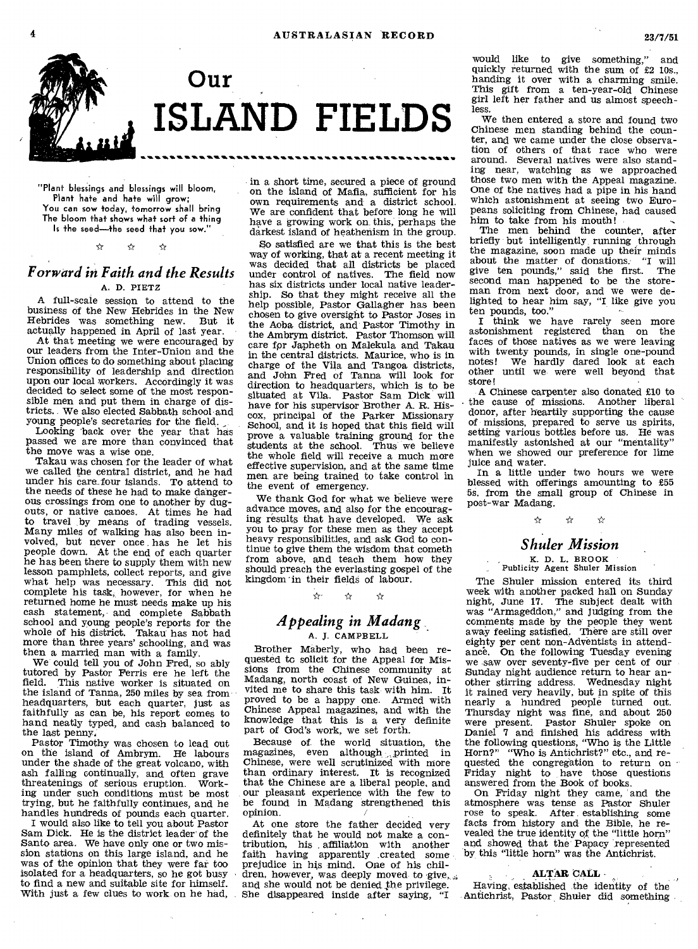

"Plant blessings and blessings will bloom, Plant hate and hate will grow; You can sow today, tomorrow shall bring The bloom that shows what sort of a thing Is the seed—the seed that you sow."

#### $\mathbf{r}$  $\leftrightarrow$  $\rightarrow$

## *Forward in Faith and the Results*

#### A. D. PIETZ

A full-scale session to attend to the business of the New Hebrides in the New Hebrides was something new. But it actually happened in April of last year.

At that meeting we were encouraged by our leaders from the Inter-Union and the Union offices to do something about placing responsibility of leadership and direction upon our local workers. Accordingly it was decided to select some of the most responsible men and put them in charge of districts. We also elected Sabbath school-and young people's secretaries for the field,.

Looking back over the year that has passed we are more than convinced that the move was a wise one.

Takau was chosen for the leader of what we called the central district, and he had under his care. four islands. To attend to the needs of these he had to make dangerous crossings from one to another by dugouts, or native canoes. At times he had to travel by means of trading vessels. Many miles of walking has also been involved, but never once has he let his people down. At the end of each quarter he has been there to supply them with new lesson pamphlets, collect reports, and give what help was necessary. This did not complete his task, however, for when he returned home he must needs make up his cash statement, and complete Sabbath school and young people's reports for the whole of his district. Takau has not had more than three years' schooling, and was then a married man with a family.

We could tell you of John Fred, so ably tutored by Pastor Ferris ere he left the field. This native worker is situated on the island of Tanna, 250 miles by sea from headquarters, but each quarter, just as faithfully as can be, his report comes to hand neatly typed, and cash balanced to the last penny,

Pastor Timothy was chosen to lead out on the island of Ambrym. He labours under the shade of the great volcano, with ash falling continually, and often grave threatenings of serious eruption. Working under such conditions must be most trying, but he faithfully continues, and he handles hundreds of pounds each quarter.

I would also like to tell you about Pastor Sam Dick. He is the district leader' of the Santo area. We have only one or two mis-sion stations on this large island, and he was of the opinion that they were far too isolated for a headquarters, so he got busy to find a new and suitable site for himself. With just a few clues to work on he had, in a short time, secured a piece of ground on the island of Mafia, sufficient for his own requirements and a district school. We are confident that before long he will have a growing work on this, perhaps the darkest island of heathenism in the group.

So satisfied are we that this is the best way of working, that at a recent meeting it was decided that all districts be placed under control of natives. The field now has six districts under local native leadership. So that they might receive all the help possible, Pastor Gallagher has been chosen to give oversight to Pastor Joses in the Aoba district, and Pastor Timothy in the Ambrym district. Pastor Thomson will care for Japheth on Malekula and Takau in the central districts. Maurice, who is in charge of the Vila and Tangoa districts, and John Fred of Tanna will look for direction to headquarters, which is to be situated at Vila. Pastor Sam Dick will have for his supervisor Brother A. R. Hiscox, principal of the Parker Missionary School, and it is hoped that this field will prove a valuable training ground for the students at the school. Thus we believe the whole field will receive a much more effective supervision, and at the same time men are being trained to take control in the event of emergency.

We thank God for what we believe were advance moves, and also for the encouraging results that have developed. We ask you to pray for these men as they accept heavy responsibilities, and ask God to continue to give them the wisdom that cometh from above, and teach them how they should preach the everlasting gospel of the kingdom in their fields of labour.

> \*  $\chi$

#### *Appealing in Madang*  A. J. CAMPBELL

Brother Maberly, who had been re-quested to solicit for the Appeal for Missions from the Chinese community at Madang, north coast of New Guinea, invited me to share this task with him. It proved to be a happy one. Armed with Chinese Appeal magazines, and with the knowledge that this is a very definite part of God's work, we set forth.

Because of the world situation, the magazines, even although printed in Chinese, were well scrutinized with more than ordinary interest. It is recognized that the Chinese are a liberal people, and our pleasant experience with the few to be found in Madang strengthened this opinion.

At one store the father decided very definitely that he would not make a contribution, his affiliation with another faith having apparently .created some prejudice in his mind. One of his children, however, was deeply moved to give, s and she would not be denied the privilege. She disappeared inside after saying, "I

would like to give something," and quickly returned with the sum of £2 10s., handing it over with a charming smile. This gift from a ten-year-old Chinese girl left her father and us almost speechless.

We then entered a store and found two Chinese men standing behind the counter, and we came under the close observation of others of that race who were around. Several natives were also standing near, watching as we approached those two men with the Appeal magazine. One of the natives had a pipe in his hand which astonishment at seeing two Europeans soliciting from Chinese, had caused him to take from his mouth!

The men behind the counter, after briefly but intelligently running through the magazine, soon made up their minds about the matter of donations. "I will give ten pounds," said the first. The second man happened to be the storeman from next door, and we were delighted to hear him say, "I like give you

ten pounds, too." I think we have rarely seen more astonishment registered than on the faces of those natives as we were leaving with twenty pounds, in single one-pound notes! We hardly dared look at each other until we were well beyond that store!

A Chinese carpenter also donated £10 to the cause of missions. Another liberal donor, after heartily supporting the cause of missions, prepared to serve us spirits, setting various bottles before us. He was manifestly astonished at our "mentality" when we showed our preference for lime juice and water.

In a little under two hours we were blessed with offerings amounting to £55 5s. from the small group of Chinese in post-war Madang.

 $\chi$ 

## *Shuler Mission*

## K. D. L. BROOK Publicity Agent Shuler Mission

The Shuler mission entered its third week with another packed hall on Sunday night, June 17. The subject dealt with was "Armageddon," and judging from the comments made by the people they went away feeling satisfied. There are still over eighty per cent non-Adventists in attendance. On the following Tuesday evening we saw over seventy-five per cent of our Sunday night audience return to hear another stirring address. Wednesday night it rained very heavily, but in spite of this nearly a hundred people turned out. Thursday night was fine, and about 250 were present. Pastor Shuler spoke on Daniel 7 and finished his address with the following questions, "Who is the Little Horn?" "Who is Antichrist?" etc., and requested the congregation to return on Friday night to have those questions answered from the Book of books.

On Friday night they came, and the atmosphere was tense as Pastor Shuler rose to speak. After establishing some facts from history and the Bible, he revealed the true identity of the "little horn" and showed that the Papacy represented by, this "little horn" was the Antichrist.

#### ALTAR CALL -

Having, established the identity of the Antichrist, Pastor Shuler did something •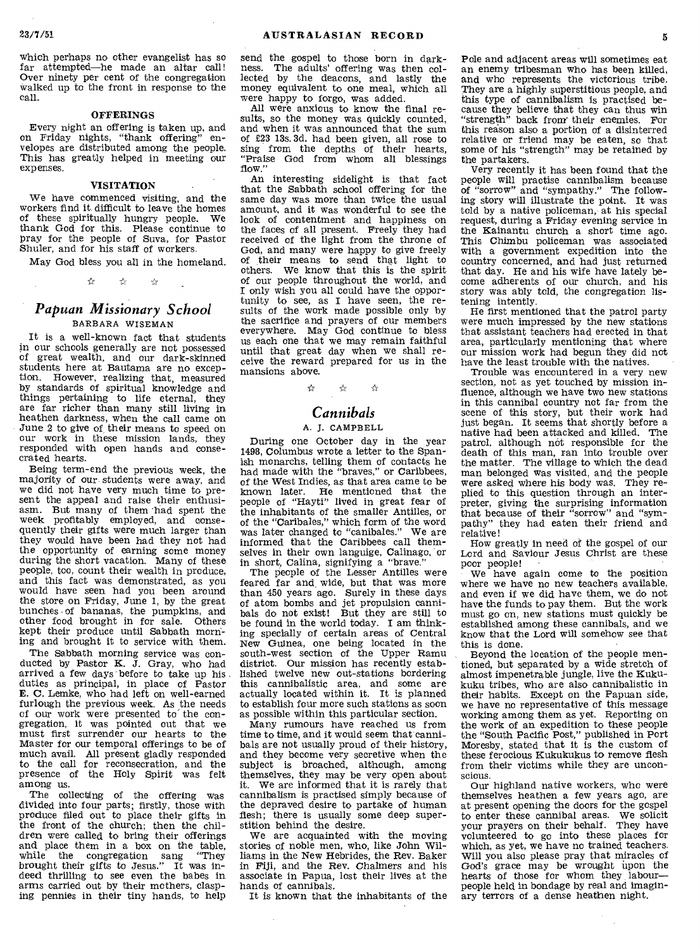which perhaps no other evangelist has so far attempted—he made an altar call! Over ninety per cent of the congregation walked up to the front in response to the call.

#### **OFFERINGS**

Every night an offering is taken up, and on Friday nights, "thank offering" envelopes are distributed among the people. This has greatly helped in meeting our expenses.

#### VISITATION

We have commenced visiting, and the workers find it difficult to leave the homes of these spiritually hungry people. We thank God for this. Please continue to pray for the people of Suva, for Pastor Shuler, and for his staff of workers.

May God bless you all in the homeland.

\* \*  $\mathcal{A}_{\mathcal{I}}$ 

#### *Papuan Missionary School*  BARBARA WISEMAN

It is a well-known fact that students in our schools generally are not possessed of great wealth, and our dark-skinned students here at Bautama are no exception. However, realizing that, measured by standards of spiritual knowledge and things pertaining to life eternal, they are far richer than many still living in heathen darkness, when the call came on June 2 to give of their means to speed on our work in these mission lands, they responded with open hands and consecrated hearts.

Being term-end the previous week, the majority of our students were away, and we did not have very much time to present the appeal and raise their enthusiasm. But many of them -had spent the week profitably employed, and consequently their gifts were much larger than they would have been had they not had the opportunity of earning some money during the short vacation. Many of these people, too, count their wealth in produce, and this fact was demonstrated, as you would have seen had you been around the store on Friday, June 1, by the great bunches of bananas, the pumpkins, and other food brought in for sale. Others kept their produce until Sabbath morning and brought it to service with them.

The Sabbath morning service was conducted by Pastor K.  $\bar{J}$ . Gray, who had arrived a few days before to take up his duties as principal, in place of Pastor E. C. Lemke, who had left on well-earned furlough the previous week. As the needs of our work were presented to the congregation, it was pointed out that we must first surrender our hearts to the Master for our temporal offerings to be of much avail. All present gladly responded to the call for reconsecration, and the presence of the Holy Spirit was felt among us.

The collecting of the offering was divided into four parts; firstly, those with produce filed out to place their gifts in the front of the church; then the chil-<br>dren were called to bring their offerings dren were called to bring their offerings and place them in a box on the table, while the congregation sang "They brought their gifts to Jesus." It was indeed thrilling to see even the babes in arms carried out by their mothers, clasping pennies in their tiny hands, to help

send the gospel to those born in darkness. The adults' offering was then collected by the deacons, and lastly the money equivalent to one meal, which all were happy to forgo, was added.

All were anxious to know the final re-sults, so the money was quickly counted, and when it was announced that the sum of £23 13s. 3d. had been given, all rose to sing from the depths of their hearts, "Praise God from whom all blessings flow."

An interesting sidelight is that fact that the Sabbath school offering for the same day was more than twice the usual amount, and it was wonderful to see the look of contentment and happiness on the faces of all present. Freely they had received of the light from the throne of God, and many were happy to give freely of their means to send that light to others. We know that this is the spirit of our people throughout the world, and I only wish you all could have the opportunity to see, as I have seen, the results of the work made possible only by the sacrifice and prayers of our members everywhere. May God continue to bless us each one that we may remain faithful until that great day when we shall receive the reward prepared for us in the mansions above.

> $\leftrightarrow$  $\preceq$ بهي

#### *Cannibals*

#### A. J. CAMPBELL

During one October day in the year 1498, Columbus wrote a letter to the Spanish monarchs, telling them of contacts he had made with the "braves," or Caribbees, of the West Indies, as that area came to be known later. He mentioned that the people of "Hayti" lived in great fear of the inhabitants of the smaller Antilles, or of the "Caribales," which form of the word was later changed to "canibales." We are informed that the Caribbees call themselves in their own languige, Calinago, or in short, Calina, signifying a "brave."

The people of the Lesser Antilles were feared far and wide, but that was more than 450 years ago. Surely in these days of atom bombs and jet propulsion canni-bals do not exist! But they are still to be found in the world today. I am thinking specially of certain areas of Central New Guinea, one being located in the south-west section of the Upper Ramu district. Our mission has recently established twelve new out-stations bordering this cannibalistic area, and some are actually located within it. It is planned to establish four more such stations as soon as possible within this particular section.

Many rumours have reached us from time to time, and it would seem that cannibals are not usually proud of their history, and they become very secretive when the subject is broached, although, among themselves, they may be very open about it. We are informed that it is rarely that cannibalism is practised simply because of the depraved desire to partake of human flesh; there is usually some deep superstition behind the desire.

We are acquainted with the moving stories of noble men, who, like John Williams in the New Hebrides, the Rev. Baker in Fiji, and the Rev. Chalmers and his associate in Papua, lost their lives at the hands of cannibals.

It is known that the inhabitants of the

Pole and adjacent areas will sometimes eat an enemy tribesman who has been killed, and who represents the victorious tribe. They are a highly superstitious people, and this type of cannibalism is practised because they believe that they can thus win "strength" back from' their enemies. For this reason also a portion of a disinterred relative or friend may be eaten, so that some of his "strength" may be retained by the partakers.

Very recently it has been found that the people will practise cannibalism because of "sorrow" and "sympathy." The following story will illustrate the point. It was told by a native policeman, at his special request, during a Friday evening service in the Kainantu church a short time ago. This Chimbu policeman was associated with a government expedition into the country concerned, and had just returned that day. He and his wife have lately become adherents of our church, and his story was ably told, the congregation listening intently.

He first mentioned that the patrol party were much impressed by the new stations that assistant teachers had erected in that area, particularly mentioning that where our mission work had begun they did not have the least trouble with the natives.

Trouble was encountered in a very new section, not as yet touched by mission influence, although we have two new stations in this cannibal country not far from the scene of this story, but their work had just began. It seems that shortly before a native had been attacked and killed. The patrol, although not responsible for the death of this man, ran into trouble over the matter. The village to which the dead man belonged was visited, and the people were asked where his body was. They replied to this question through an interpreter, giving the surprising information that because of their "sorrow" and "sympathy" they had eaten their friend and relative!

How greatly in need of the gospel of our Lord and Saviour Jesus Christ are these poor people!

We have again come to the position where we have no new teachers available. and even if we did have them, we do not have the funds to pay them. But the work must go on, new stations must quickly be established among these cannibals, and we know that the Lord will somehow see that this is done.

Beyond the location of the people mentioned, but separated by a wide stretch of almost impenetrable jungle, live the Kukukuku tribes, who are also cannibalistic in their habits. Except on the Papuan side, we have no representative of this message working among them as yet. Reporting on the work of an expedition to these people the "South Pacific Post," published in Port Moresby, stated that it is the custom of these ferocious Kukukukus to remove flesh from their victims while they are unconscious.

Our highland native workers, who were themselves heathen a few years ago, are at present opening the doors for the gospel to enter these cannibal areas. We solicit your prayers on their behalf. They have volunteered to go into these places for which, as yet, we have no trained teachers. Will you also please pray that miracles of God's grace may be wrought upon the hearts of those for whom they labour people held in bondage by real and imaginary terrors of a dense heathen night.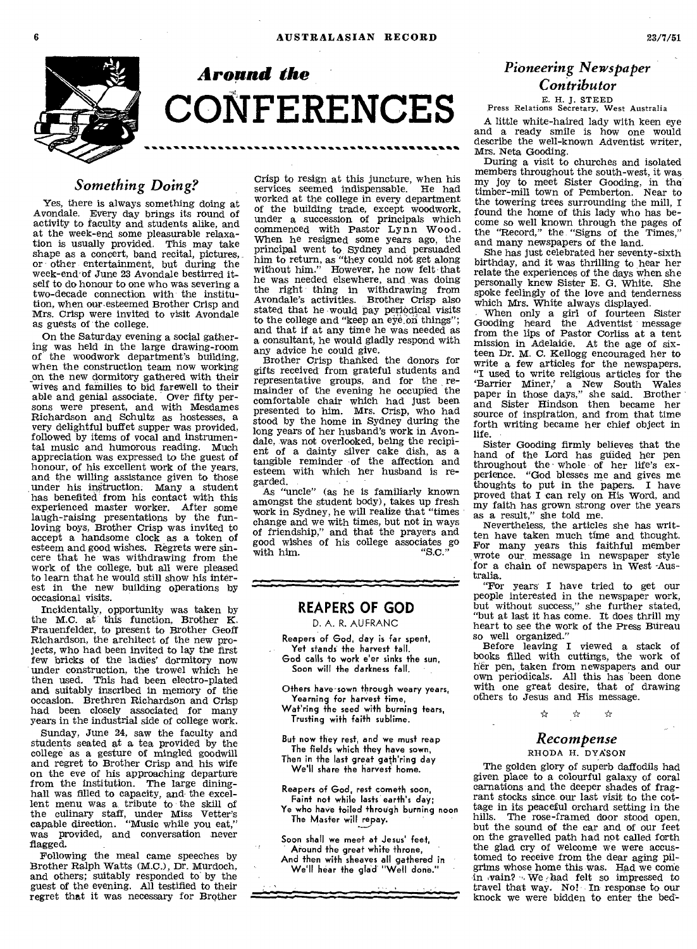

#### *Something Doing?*

Yes, there is always something doing at Avondale. Every day brings its round of activity to faculty and students alike, and at the week-end some pleasurable relaxation is usually provided. This may take shape as a concert, band recital, pictures, or other entertainment, but during the week-end'of June 23 Avondale bestirred itself to do honour to one who was severing a two-decade connection with the institution, when our-esteemed Brother Crisp and Mrs. Crisp were invited to visit Avondale as guests of the college.

On the Saturday evening a social gathering was held in the large drawing-room of the woodwork department's building, when the construction team now working on the new dormitory gathered with their wives and families to bid farewell to their able and genial associate. Over fifty per-sons were present, and with Mesdames Richardson and Schultz as hostesses, a very delightful buffet supper was provided, followed by items of vocal and instrumental music and humorous reading. Much appreciation was expressed to the guest of honour, of his excellent work of the years, and the willing assistance given to those under his instruction: Many a student has benefited from his contact with this experienced master worker. After some laugh-raising presentations by the fun-loving boys, Brother Crisp was invited to accept a handsome clock as a token of esteem and good wishes. Regrets were sincere that he was withdrawing from the work of the college, but all were pleased to learn that he would still show his interest in the new building operations by occasional visits.

Incidentally, opportunity was taken by the M.C. at this function, Brother K. Frauenfelder, to present to Brother Geoff Richardson, the architect of the new projects, who had been invited to lay the first few bricks of the ladies' dormitory now under construction, the trowel which he then used. This had been electro-plated and suitably inscribed in memory of the occasion. Brethren Richardson and Crisp had been closely associated for many years in the industrial side of college work.

Sunday, June 24, saw the faculty and students seated at a tea provided by the college as a gesture of mingled goodwill and regret to Brother Crisp and his wife on the eve of his approaching departure from the institution. The large dininghall was filled to capacity, and the excel-lent menu was a, tribute to the skill of the culinary staff, under Miss Vetter's capable direction. "Music while you eat," was provided, and conversation never flagged.

Following the meal came speeches by Brother Ralph Watts (M.C.), Dr. Murdoch, and others; suitably responded to' by the guest of the evening. All testified to their regret that it was necessary for Brother

Crisp to resign at this juncture, when his services seemed indispensable. He had worked at the college in every department of the building trade, except woodwork, under a succession of principals which commenced with Pastor Lynn Wood. When he resigned some years ago, the principal went to Sydney and persuaded him to return, as "they could not get along without him." However, he now felt that he was needed elsewhere, and .was doing the right thing in withdrawing from Avondale's activities. Brother Crisp also stated that he would pay periodical visits to the college and "keep an eye on things"; and that if at any time he was needed as a consultant, he would gladly respond with any advice he could give.

Brother Crisp thanked the donors for gifts received from grateful students and representative groups, and for the remainder of the evening he occupied the comfortable chair which had just been presented to him. Mrs. Crisp, who had stood by the home in Sydney during the long years of her husband's work in Avondale, was not overlooked, being the recipient of a dainty silver cake dish, as a tangible reminder of the affection and esteem with which her husband is regarded.

As "uncle" (as he is familiarly known amongst the student body), takes up fresh work in Sydney, he will realize that "times change and we with times, but not in ways of friendship," and that the prayers and good wishes of his college associates go with him.  $"S.C."$ 

#### **REAPERS OF GOD**

D. A. R. AU FRANC

- Reapers of God, day is far spent, Yet stands the harvest tall. God calls to work e'er sinks the sun, Soon will the darkness fall.
- Others have sown through weary years, Yearning for harvest time, Wat'ring the seed with burning tears, Trusting with faith sublime.
- But now they rest, and we must reap The fields which they have sown, Then in the last great gath'ring day We'll share the harvest home.
- Reapers of God, rest cometh soon, Faint not while lasts earth's day; Ye who have toiled through burning noon The Master will repay.

Soon shall we meet at Jesus' feet, Around the great white throne, And then with sheaves all gathered in We'll hear the glad "Well done."

## *Pioneering Newspaper Contributor*

## E. H. J. STEED Press Relations Secretary, West Australia

A little white-haired lady with keen eye and a ready smile is how one would describe the well-known Adventist writer, Mrs. Neta Gooding.

During a visit to churches and isolated members throughout the south-west, it was my joy to meet Sister Gooding, in the timber-mill town of Pemberton. Near to the towering trees surrounding the mill, I found the home of this lady who has become so well known through the pages of the "Record," the. "Signs of the Times," and many newspapers of the land.

She has just celebrated her seventy-sixth birthday, and it was thrilling to hear her relate the experiences of the days when she personally knew Sister E. G. White. She spoke feelingly of the love and tenderness which Mrs. White always displayed.

When only a girl of fourteen Sister Gooding heard the Adventist message, from the lips of Pastor Corliss at a tent mission in Adelaide. At the age of sixteen Dr. M. C. Kellogg encouraged her to write a few articles for the newspapers. "I used to write religious articles for the `Barrier Miner,' a New South Wales paper in those days," she said. Brother and Sister Hindson then became her source of inspiration, and from that time forth writing became her chief object in life.

Sister Gooding firmly believes that the hand of the Lord has guided her pen throughout the • whole of her life's experience. "God blesses me and gives me thoughts to put in the papers. I have proved that I can rely on His Word, and my faith has grown strong over the years as a result," she told me.

Nevertheless, the articles she has written have taken much time and thought. For many years this faithful member wrote our, message in newspaper style for a chain of newspapers in West -Australia.

"For years' I have tried to get our people interested in the newspaper work, but without success," she further stated, "but at last it has come. It does thrill my heart to see the work of the Press Bureau so well organized."

Before leaving I viewed a stack of books filled with cuttings, the work of her pen, taken from newspapers and our own periodicals. All this has 'been done with one great desire, that of drawing others to Jesus and His message.

> ☆ ☆

#### *Recompense*

☆

#### RHODA H. DYA'SON

The golden glory of superb daffodils had given place to a colourful galaxy of coral carnations and the deeper shades of fragrant stocks since our last visit to the cottage in its peaceful orchard setting in the hills. The rose-framed door stood open, but the sound of the car and of our feet on the gravelled path had not called forth the glad cry of welcome we were accustomed to receive from the dear aging pilgrims whose home this was. Had we come in  $\nu$ ain? We had felt so impressed to travel that way. No! In response to our knock we were bidden to enter the bed-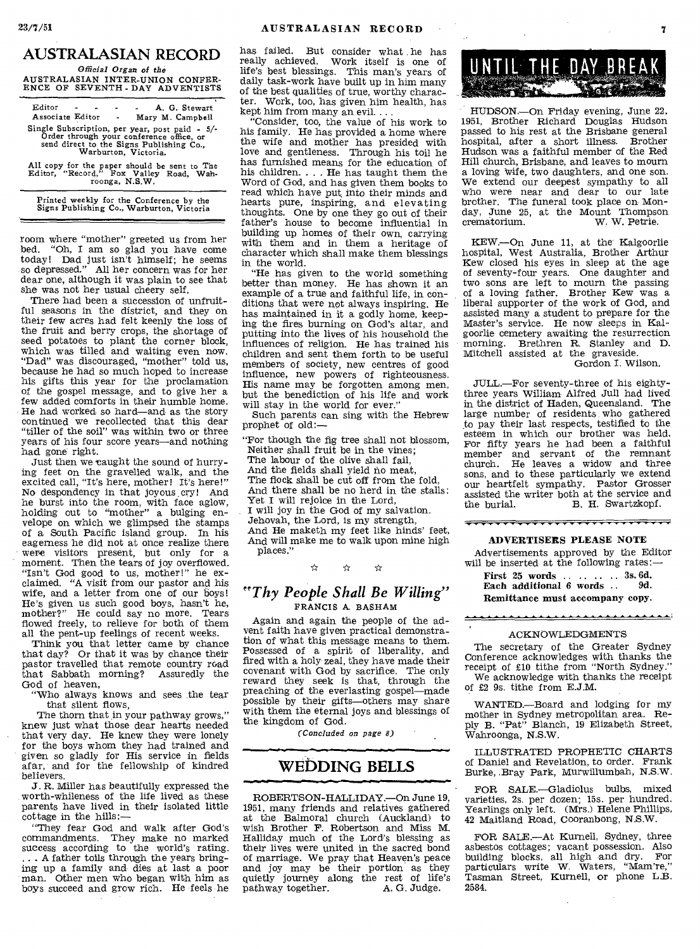#### **AUSTRALASIAN RECORD**

*Official Organ of the*  AUSTRALASIAN INTER-UNION CONFER-ENCE OF SEVENTH-DAY ADVENTISTS

| Editor<br>Associate Editor - |                      |                | A. G. Stewart<br>Mary M. Campbell                                                                                                      |
|------------------------------|----------------------|----------------|----------------------------------------------------------------------------------------------------------------------------------------|
|                              | Warburton, Victoria. |                | Single Subscription, per year, post paid - 5/-<br>Order through your conference office, or<br>send direct to the Signs Publishing Co., |
|                              |                      | roonga, N.S.W. | All copy for the paper should be sent to The<br>Editor, "Record," Fox Valley Road. Wah-                                                |

Printed weekly for the Conference by the Signs Publishing Co., Warburton, Victoria

room where "mother" greeted us from her bed. "Oh, I am so glad you have come today! Dad just isn't himself; he seems so depressed." All her concern was for her dear one, although it was plain to see that she was not her usual cheery self.

There had been a succession of unfruitful seasons in the district, and they on their few acres had felt keenly the loss of the fruit and berry crops, the shortage of seed potatoes to plant the corner block, which was tilled and waiting even now. "Dad" was discouraged, "mother" told us, because he had so much hoped to increase his gifts this year for the proclamation of the gospel message, and to give her a few added comforts in their humble home. He had worked so hard—and as the story continued we recollected that this dear "tiller of the soil" was within two or three years of his four score years—and nothing had gone right.

Just then we caught the sound of hurrying feet on the gravelled walk, and the excited call, "It's here, mother! It's here!" No despondency in that joyous.cry! And he burst into the room, with face aglow, holding out to "mother" a bulging envelope on which we glimpsed the stamps of a South Pacific island group. In his eagerness he did not at once realize there were visitors present, but only for a moment. Then the tears of joy overflowed. "Isn't God good to us, mother!" he exclaimed. "A visit from our pastor and his wife, and a letter from one of our boys! He's given us such good boys, hasn't he, mother?" He could say no more. Tears flowed freely, to relieve for both of them all the pent-up feelings of recent weeks.

Think you that letter came by chance that day? Or that it was by chance their pastor travelled that remote country road that Sabbath morning? Assuredly the God of heaven,

"Who always knows and sees the tear that silent flows,

The thorn that in your pathway grows," knew just what those dear hearts needed that very day. He knew they were lonely for the boys whom they had trained and given so gladly for His service in fields afar, and for the fellowship of kindred believers.

J. R. Miller has beautifully expressed the worth-whileness of the life lived as these parents have lived in their isolated little cottage in the hills:—

"They fear God and walk after God's commandments. They make no marked success according to the world's rating.<br>
... A father toils through the years bringing up a family and dies at last a poor man. Other men who began with him as boys succeed and grow rich. He feels he

has failed. But consider what he has really achieved. Work itself is one of life's best blessings. This man's years of daily task-work have built up in him many of the best qualities of true, worthy character. Work, too, has given him health, has kept him from many an evil....

"Consider, too, the value of his work to his family. He has provided a home where the wife and mother has presided with love and gentleness. Through his toil he has furnished means for the education of his children. . . . He has taught them the Word of God, and has given them books to read which have put into their minds and hearts pure, inspiring, and elevating thoughts. One by one they go out of their father's house to become influential in building up homes of their own, carrying with them and in them a heritage of character which shall make them blessings in the world.

"He has given to the world something better than money. He has shown it an example of a true and faithful life, in conditions that were not always inspiring. He has maintained in it a godly home, keeping the fires burning on God's altar, and putting into the lives of his household the influences of religion. He has trained his children and sent them forth to be useful members of society, new centres of good influence, new powers of righteousness. His name may be forgotten among men, but the benediction of his life and work will stay in the world for ever."

Such parents can sing with the Hebrew prophet of old:—

"For though the fig tree shall not blossom, Neither shall fruit be in the vines; The labour of the olive shall fail, And the fields shall yield no meat, The flock shall be cut off from the fold, And there shall be no herd in the stalls: Yet I will rejoice in the Lord, I will joy in the God of my salvation. Jehovah, the Lord, is my strength, And He maketh my feet like hinds' feet, And will make me to walk upon mine high<br>places."<br> $\angle x$   $\angle x$ places."

#### *"Thy People Shall Be Willing"*  FRANCIS A. BASHAM

Again and again the people of the advent faith have given practical demonstration of what this message means to them. Possessed of a spirit of liberality, and fired with a holy zeal, they have made their covenant with God by sacrifice. The only reward they seek is that, through the preaching of the everlasting gospel—made possible by their gifts—others may share with them the eternal joys and blessings of the kingdom of God.

*(Concluded on page 8)* 

#### **WEbDING BELLS**

ROBERTSON-HALLIDAY.—On June 19, 1951, many friends and relatives gathered at the Balmoral church (Auckland) to wish Brother F. Robertson and Miss M. Halliday much of the Lord's blessing as their lives were united in the sacred bond of marriage. We pray that Heaven's peace and joy may be their portion as they quietly journey along the rest of life's pathway together. A. G. Judge.

UNTIL THE DAY BREAK

HUDSON.—On Friday evening, June 22, 1951, Brother Richard Douglas Hudson passed to his rest at the Brisbane general hospital, after a short illness. Brother Hudson was a faithful member of the Red Hill church, Brisbane, and leaves to mourn a loving Wife, two daughters, and one son. We extend our deepest sympathy to all who were near and dear to our late brother. The funeral took place on Monday, June 25, at the Mount Thompson<br>crematorium. W. W. Petrie. W. W. Petrie.

KEW.—On June 11, at the Kalgoorlie hospital, West Australia, Brother Arthur Kew closed his eyes in sleep at the age of seventy-four years. One daughter and two sons are left to mourn the passing of a loving father. Brother Kew was a liberal supporter of the work of God, and assisted many a student to prepare for the Master's service. He now sleeps in Kalgoorlie cemetery awaiting the resurrection morning. Brethren R. Stanley and D. Mitchell assisted at the graveside.

Gordon I. Wilson.

JULL.—For seventy-three of his eightythree years William Alfred Jull had lived in the district of Haden, Queensland. The large number of residents who gathered to pay their last respects, testified to the esteem in which our brother was held. For fifty years he had been a faithful member and servant of the remnant church. He leaves a widow and three sons, and to these particularly we extend our heartfelt sympathy. Pastor Grosser assisted the writer both at the service and<br>the burial. B. H. Swartzkopf. B. H. Swartzkopf.

#### <del>\*\*\*\*\*\*\*\*\*\*\*\*\*\*\*\*\*\*\*\*\*\*\*\*\*\*\*</del>\*

ADVERTISERS PLEASE NOTE

Advertisements approved by the Editor will be inserted at the following rates:—

| First $25$ words $3s.6d$ .      |       |
|---------------------------------|-------|
| Each additional 6 words         | - 9d. |
| Remittance must accompany copy. |       |

#### ACKNOWLEDGMENTS

The secretary of the Greater Sydney Conference acknowledges with thanks the receipt of £10 tithe from "North Sydney." We acknowledge with thanks the receipt of £2 9s. tithe from E.J.M.

WANTED.—Board and lodging for my mother in Sydney metropolitan area. Reply B. "Pat" Blanch, 19 Elizabeth Street, Wahroonga, N.S.W.

ILLUSTRATED PROPHETIC CHARTS of Daniel and Revelation, to order. Frank Burke, .Bray Park, Murwillumbah, N.S.W.

FOR SALE.—Gladiolus bulbs, mixed varieties, 2s. per dozen; 15s. per hundred. Yearlings only left. (Mrs.) Helene Phillips, 42 Maitland Road, Cooranbong, N.S.W.

FOR SALE.—At Kurnell, Sydney, three asbestos cottages; vacant possession. Also<br>building blocks, all high and dry. For building blocks, all high and dry. For particulars write W. Waters, "Mam're," Tasman Street, Kurnell, or phone L.B. 2584.